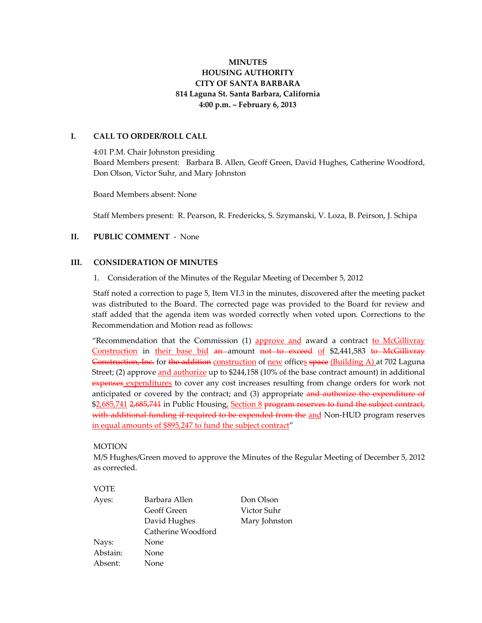## **MINUTES HOUSING AUTHORITY CITY OF SANTA BARBARA 814 Laguna St. Santa Barbara, California 4:00 p.m. – February 6, 2013**

## **I. CALL TO ORDER/ROLL CALL**

4:01 P.M. Chair Johnston presiding Board Members present: Barbara B. Allen, Geoff Green, David Hughes, Catherine Woodford, Don Olson, Victor Suhr, and Mary Johnston

Board Members absent: None

Staff Members present: R. Pearson, R. Fredericks, S. Szymanski, V. Loza, B. Peirson, J. Schipa

#### **II. PUBLIC COMMENT** ‐ None

#### **III. CONSIDERATION OF MINUTES**

1. Consideration of the Minutes of the Regular Meeting of December 5, 2012

Staff noted a correction to page 5, Item VI.3 in the minutes, discovered after the meeting packet was distributed to the Board. The corrected page was provided to the Board for review and staff added that the agenda item was worded correctly when voted upon. Corrections to the Recommendation and Motion read as follows:

"Recommendation that the Commission (1) approve and award a contract to McGillivray Construction in their base bid an amount not to exceed of \$2,441,583 to McGillivray Construction, Inc. for the addition construction of new offices space (Building A) at 702 Laguna Street; (2) approve and authorize up to \$244,158 (10% of the base contract amount) in additional expenses expenditures to cover any cost increases resulting from change orders for work not anticipated or covered by the contract; and (3) appropriate and authorize the expenditure of \$2,685,741 2,685,744 in Public Housing, Section 8 program reserves to fund the subject contract, with additional funding if required to be expended from the and Non-HUD program reserves in equal amounts of \$895,247 to fund the subject contract"

#### MOTION

M/S Hughes/Green moved to approve the Minutes of the Regular Meeting of December 5, 2012 as corrected.

#### VOTE

| Barbara Allen<br>Ayes: | Don Olson     |
|------------------------|---------------|
| Geoff Green            | Victor Suhr   |
| David Hughes           | Mary Johnston |
| Catherine Woodford     |               |
| Nays:<br>None          |               |
| Abstain:<br>None       |               |
| Absent:<br>None        |               |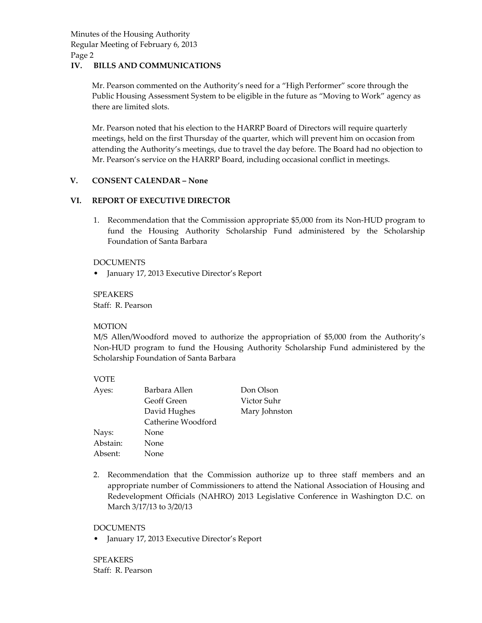### **IV. BILLS AND COMMUNICATIONS**

Mr. Pearson commented on the Authority's need for a "High Performer" score through the Public Housing Assessment System to be eligible in the future as "Moving to Work" agency as there are limited slots.

Mr. Pearson noted that his election to the HARRP Board of Directors will require quarterly meetings, held on the first Thursday of the quarter, which will prevent him on occasion from attending the Authority's meetings, due to travel the day before. The Board had no objection to Mr. Pearson's service on the HARRP Board, including occasional conflict in meetings.

#### **V. CONSENT CALENDAR – None**

#### **VI. REPORT OF EXECUTIVE DIRECTOR**

1. Recommendation that the Commission appropriate \$5,000 from its Non‐HUD program to fund the Housing Authority Scholarship Fund administered by the Scholarship Foundation of Santa Barbara

#### DOCUMENTS

• January 17, 2013 Executive Director's Report

SPEAKERS Staff: R. Pearson

#### MOTION

M/S Allen/Woodford moved to authorize the appropriation of \$5,000 from the Authority's Non‐HUD program to fund the Housing Authority Scholarship Fund administered by the Scholarship Foundation of Santa Barbara

#### VOTE

| Ayes:    | Barbara Allen      | Don Olson     |
|----------|--------------------|---------------|
|          | <b>Geoff Green</b> | Victor Suhr   |
|          | David Hughes       | Mary Johnston |
|          | Catherine Woodford |               |
| Nays:    | None               |               |
| Abstain: | None               |               |
| Absent:  | None               |               |

2. Recommendation that the Commission authorize up to three staff members and an appropriate number of Commissioners to attend the National Association of Housing and Redevelopment Officials (NAHRO) 2013 Legislative Conference in Washington D.C. on March 3/17/13 to 3/20/13

#### DOCUMENTS

January 17, 2013 Executive Director's Report

**SPEAKERS** Staff: R. Pearson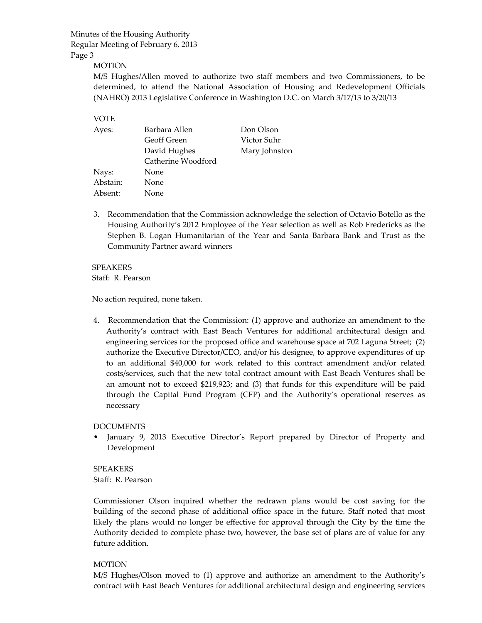## MOTION

M/S Hughes/Allen moved to authorize two staff members and two Commissioners, to be determined, to attend the National Association of Housing and Redevelopment Officials (NAHRO) 2013 Legislative Conference in Washington D.C. on March 3/17/13 to 3/20/13

#### VOTE

| Barbara Allen      | Don Olson     |
|--------------------|---------------|
| <b>Geoff Green</b> | Victor Suhr   |
| David Hughes       | Mary Johnston |
| Catherine Woodford |               |
| None               |               |
| None               |               |
| None               |               |
|                    |               |

3. Recommendation that the Commission acknowledge the selection of Octavio Botello as the Housing Authority's 2012 Employee of the Year selection as well as Rob Fredericks as the Stephen B. Logan Humanitarian of the Year and Santa Barbara Bank and Trust as the Community Partner award winners

## SPEAKERS

Staff: R. Pearson

No action required, none taken.

4. Recommendation that the Commission: (1) approve and authorize an amendment to the Authority's contract with East Beach Ventures for additional architectural design and engineering services for the proposed office and warehouse space at 702 Laguna Street; (2) authorize the Executive Director/CEO, and/or his designee, to approve expenditures of up to an additional \$40,000 for work related to this contract amendment and/or related costs/services, such that the new total contract amount with East Beach Ventures shall be an amount not to exceed \$219,923; and (3) that funds for this expenditure will be paid through the Capital Fund Program (CFP) and the Authority's operational reserves as necessary

## DOCUMENTS

January 9, 2013 Executive Director's Report prepared by Director of Property and Development

SPEAKERS Staff: R. Pearson

Commissioner Olson inquired whether the redrawn plans would be cost saving for the building of the second phase of additional office space in the future. Staff noted that most likely the plans would no longer be effective for approval through the City by the time the Authority decided to complete phase two, however, the base set of plans are of value for any future addition.

#### MOTION

M/S Hughes/Olson moved to (1) approve and authorize an amendment to the Authority's contract with East Beach Ventures for additional architectural design and engineering services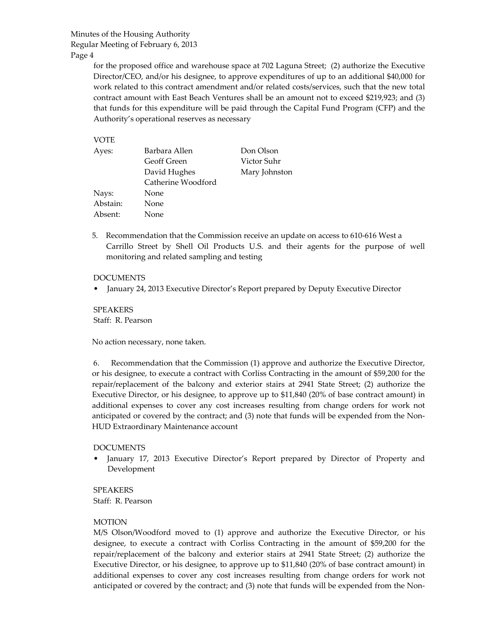Page 4

for the proposed office and warehouse space at 702 Laguna Street; (2) authorize the Executive Director/CEO, and/or his designee, to approve expenditures of up to an additional \$40,000 for work related to this contract amendment and/or related costs/services, such that the new total contract amount with East Beach Ventures shall be an amount not to exceed \$219,923; and (3) that funds for this expenditure will be paid through the Capital Fund Program (CFP) and the Authority's operational reserves as necessary

### VOTE

| Mary Johnston |
|---------------|

5. Recommendation that the Commission receive an update on access to 610–616 West a Carrillo Street by Shell Oil Products U.S. and their agents for the purpose of well monitoring and related sampling and testing

### DOCUMENTS

• January 24, 2013 Executive Director's Report prepared by Deputy Executive Director

SPEAKERS Staff: R. Pearson

No action necessary, none taken.

6. Recommendation that the Commission (1) approve and authorize the Executive Director, or his designee, to execute a contract with Corliss Contracting in the amount of \$59,200 for the repair/replacement of the balcony and exterior stairs at 2941 State Street; (2) authorize the Executive Director, or his designee, to approve up to \$11,840 (20% of base contract amount) in additional expenses to cover any cost increases resulting from change orders for work not anticipated or covered by the contract; and (3) note that funds will be expended from the Non‐ HUD Extraordinary Maintenance account

## DOCUMENTS

January 17, 2013 Executive Director's Report prepared by Director of Property and Development

## SPEAKERS Staff: R. Pearson

## MOTION

M/S Olson/Woodford moved to (1) approve and authorize the Executive Director, or his designee, to execute a contract with Corliss Contracting in the amount of \$59,200 for the repair/replacement of the balcony and exterior stairs at 2941 State Street; (2) authorize the Executive Director, or his designee, to approve up to \$11,840 (20% of base contract amount) in additional expenses to cover any cost increases resulting from change orders for work not anticipated or covered by the contract; and (3) note that funds will be expended from the Non-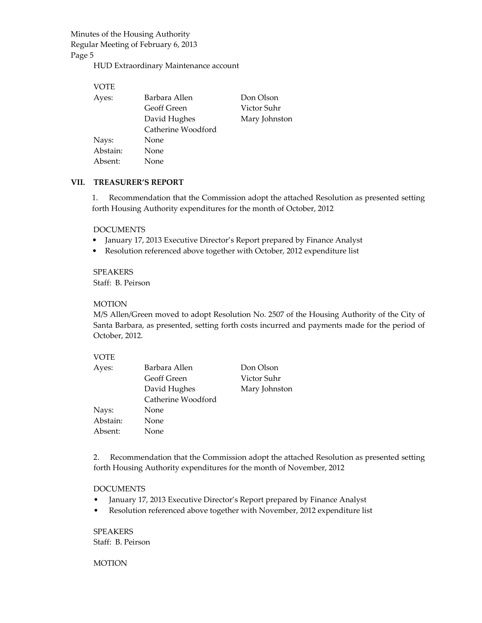HUD Extraordinary Maintenance account

| VOTE     |                    |               |
|----------|--------------------|---------------|
| Ayes:    | Barbara Allen      | Don Olson     |
|          | Geoff Green        | Victor Suhr   |
|          | David Hughes       | Mary Johnston |
|          | Catherine Woodford |               |
| Nays:    | None               |               |
| Abstain: | <b>None</b>        |               |
| Absent:  | None.              |               |

#### **VII. TREASURER'S REPORT**

1. Recommendation that the Commission adopt the attached Resolution as presented setting forth Housing Authority expenditures for the month of October, 2012

#### DOCUMENTS

- January 17, 2013 Executive Director's Report prepared by Finance Analyst
- Resolution referenced above together with October, 2012 expenditure list

SPEAKERS Staff: B. Peirson

#### MOTION

M/S Allen/Green moved to adopt Resolution No. 2507 of the Housing Authority of the City of Santa Barbara, as presented, setting forth costs incurred and payments made for the period of October, 2012.

#### VOTE

| Barbara Allen      | Don Olson     |
|--------------------|---------------|
| Geoff Green        | Victor Suhr   |
| David Hughes       | Mary Johnston |
| Catherine Woodford |               |
| None               |               |
| None               |               |
| None               |               |
|                    |               |

2. Recommendation that the Commission adopt the attached Resolution as presented setting forth Housing Authority expenditures for the month of November, 2012

#### DOCUMENTS

- January 17, 2013 Executive Director's Report prepared by Finance Analyst
- Resolution referenced above together with November, 2012 expenditure list

SPEAKERS Staff: B. Peirson

#### MOTION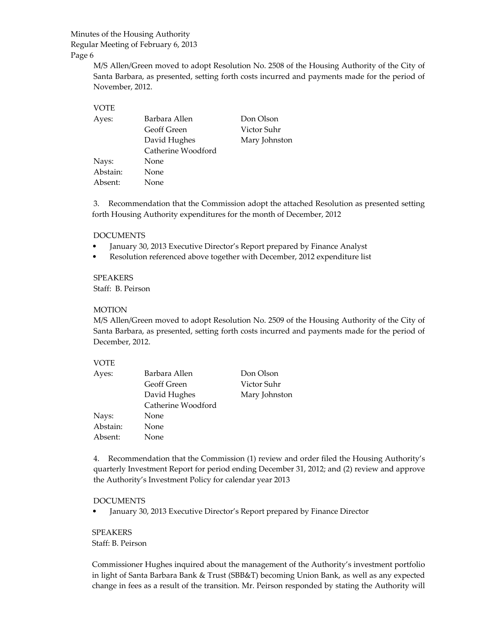## Minutes of the Housing Authority

#### Regular Meeting of February 6, 2013

Page 6

M/S Allen/Green moved to adopt Resolution No. 2508 of the Housing Authority of the City of Santa Barbara, as presented, setting forth costs incurred and payments made for the period of November, 2012.

## VOTE

| Ayes:    | Barbara Allen      | Don Olson     |
|----------|--------------------|---------------|
|          | Geoff Green        | Victor Suhr   |
|          | David Hughes       | Mary Johnston |
|          | Catherine Woodford |               |
| Nays:    | None               |               |
| Abstain: | None               |               |
| Absent:  | <b>None</b>        |               |

3. Recommendation that the Commission adopt the attached Resolution as presented setting forth Housing Authority expenditures for the month of December, 2012

### DOCUMENTS

- January 30, 2013 Executive Director's Report prepared by Finance Analyst
- Resolution referenced above together with December, 2012 expenditure list

## SPEAKERS

Staff: B. Peirson

### MOTION

M/S Allen/Green moved to adopt Resolution No. 2509 of the Housing Authority of the City of Santa Barbara, as presented, setting forth costs incurred and payments made for the period of December, 2012.

## VOTE

| Ayes:    | Barbara Allen      | Don Olson     |
|----------|--------------------|---------------|
|          | <b>Geoff Green</b> | Victor Suhr   |
|          | David Hughes       | Mary Johnston |
|          | Catherine Woodford |               |
| Nays:    | None               |               |
| Abstain: | None               |               |
| Absent:  | None               |               |

4. Recommendation that the Commission (1) review and order filed the Housing Authority's quarterly Investment Report for period ending December 31, 2012; and (2) review and approve the Authority's Investment Policy for calendar year 2013

#### DOCUMENTS

• January 30, 2013 Executive Director's Report prepared by Finance Director

SPEAKERS Staff: B. Peirson

Commissioner Hughes inquired about the management of the Authority's investment portfolio in light of Santa Barbara Bank & Trust (SBB&T) becoming Union Bank, as well as any expected change in fees as a result of the transition. Mr. Peirson responded by stating the Authority will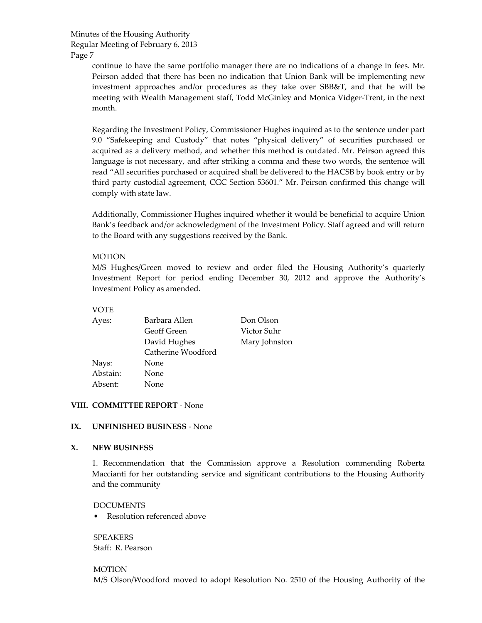> continue to have the same portfolio manager there are no indications of a change in fees. Mr. Peirson added that there has been no indication that Union Bank will be implementing new investment approaches and/or procedures as they take over SBB&T, and that he will be meeting with Wealth Management staff, Todd McGinley and Monica Vidger-Trent, in the next month.

> Regarding the Investment Policy, Commissioner Hughes inquired as to the sentence under part 9.0 "Safekeeping and Custody" that notes "physical delivery" of securities purchased or acquired as a delivery method, and whether this method is outdated. Mr. Peirson agreed this language is not necessary, and after striking a comma and these two words, the sentence will read "All securities purchased or acquired shall be delivered to the HACSB by book entry or by third party custodial agreement, CGC Section 53601." Mr. Peirson confirmed this change will comply with state law.

> Additionally, Commissioner Hughes inquired whether it would be beneficial to acquire Union Bank's feedback and/or acknowledgment of the Investment Policy. Staff agreed and will return to the Board with any suggestions received by the Bank.

### MOTION

M/S Hughes/Green moved to review and order filed the Housing Authority's quarterly Investment Report for period ending December 30, 2012 and approve the Authority's Investment Policy as amended.

#### VOTE

| Ayes:    | Barbara Allen      | Don Olson     |
|----------|--------------------|---------------|
|          | Geoff Green        | Victor Suhr   |
|          | David Hughes       | Mary Johnston |
|          | Catherine Woodford |               |
| Nays:    | None               |               |
| Abstain: | None               |               |
| Absent:  | <b>None</b>        |               |

#### **VIII. COMMITTEE REPORT** ‐ None

#### **IX. UNFINISHED BUSINESS** ‐ None

#### **X. NEW BUSINESS**

1. Recommendation that the Commission approve a Resolution commending Roberta Maccianti for her outstanding service and significant contributions to the Housing Authority and the community

#### DOCUMENTS

Resolution referenced above

SPEAKERS Staff: R. Pearson

# MOTION

M/S Olson/Woodford moved to adopt Resolution No. 2510 of the Housing Authority of the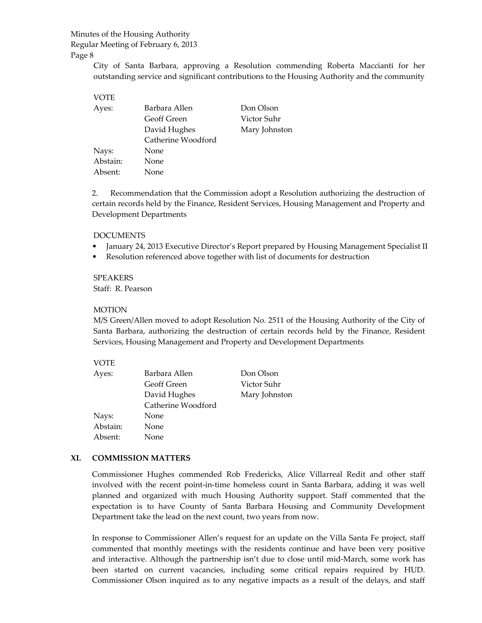Page 8

City of Santa Barbara, approving a Resolution commending Roberta Maccianti for her outstanding service and significant contributions to the Housing Authority and the community

## VOTE Ayes: Barbara Allen Don Olson Geoff Green Victor Suhr David Hughes Mary Johnston Catherine Woodford Nays: None Abstain: None Absent: None

2. Recommendation that the Commission adopt a Resolution authorizing the destruction of certain records held by the Finance, Resident Services, Housing Management and Property and Development Departments

## DOCUMENTS

- January 24, 2013 Executive Director's Report prepared by Housing Management Specialist II
- Resolution referenced above together with list of documents for destruction

## SPEAKERS

Staff: R. Pearson

#### MOTION

M/S Green/Allen moved to adopt Resolution No. 2511 of the Housing Authority of the City of Santa Barbara, authorizing the destruction of certain records held by the Finance, Resident Services, Housing Management and Property and Development Departments

## VOTE

| Ayes:    | Barbara Allen      | Don Olson     |
|----------|--------------------|---------------|
|          | <b>Geoff Green</b> | Victor Suhr   |
|          | David Hughes       | Mary Johnston |
|          | Catherine Woodford |               |
| Nays:    | None               |               |
| Abstain: | None               |               |
| Absent:  | None               |               |

## **XI. COMMISSION MATTERS**

Commissioner Hughes commended Rob Fredericks, Alice Villarreal Redit and other staff involved with the recent point‐in‐time homeless count in Santa Barbara, adding it was well planned and organized with much Housing Authority support. Staff commented that the expectation is to have County of Santa Barbara Housing and Community Development Department take the lead on the next count, two years from now.

In response to Commissioner Allen's request for an update on the Villa Santa Fe project, staff commented that monthly meetings with the residents continue and have been very positive and interactive. Although the partnership isn't due to close until mid‐March, some work has been started on current vacancies, including some critical repairs required by HUD. Commissioner Olson inquired as to any negative impacts as a result of the delays, and staff